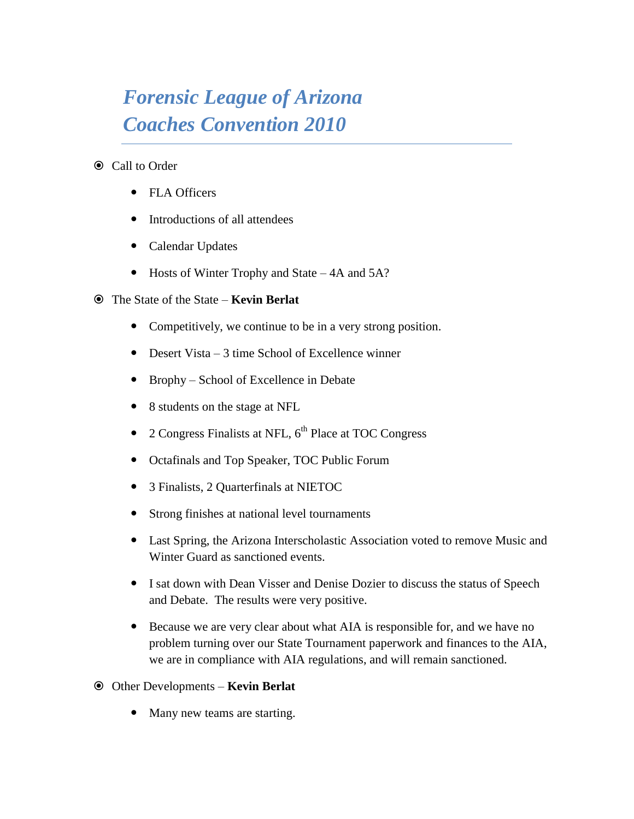## *Forensic League of Arizona Coaches Convention 2010*

- $\odot$  Call to Order
	- FLA Officers
	- Introductions of all attendees
	- Calendar Updates
	- Hosts of Winter Trophy and State 4A and 5A?
- The State of the State **Kevin Berlat**
	- Competitively, we continue to be in a very strong position.
	- Desert Vista 3 time School of Excellence winner
	- Brophy School of Excellence in Debate
	- 8 students on the stage at NFL
	- 2 Congress Finalists at NFL,  $6<sup>th</sup>$  Place at TOC Congress
	- Octafinals and Top Speaker, TOC Public Forum
	- 3 Finalists, 2 Quarterfinals at NIETOC
	- Strong finishes at national level tournaments
	- Last Spring, the Arizona Interscholastic Association voted to remove Music and Winter Guard as sanctioned events.
	- I sat down with Dean Visser and Denise Dozier to discuss the status of Speech and Debate. The results were very positive.
	- Because we are very clear about what AIA is responsible for, and we have no problem turning over our State Tournament paperwork and finances to the AIA, we are in compliance with AIA regulations, and will remain sanctioned.
- Other Developments **Kevin Berlat**
	- Many new teams are starting.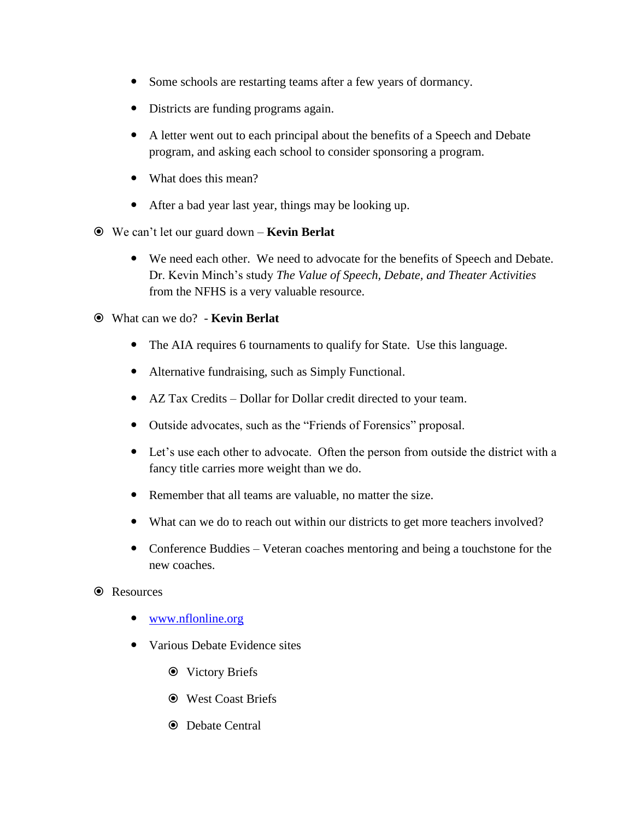- Some schools are restarting teams after a few years of dormancy.
- Districts are funding programs again.
- A letter went out to each principal about the benefits of a Speech and Debate program, and asking each school to consider sponsoring a program.
- What does this mean?
- After a bad year last year, things may be looking up.
- We can't let our guard down **Kevin Berlat**
	- We need each other. We need to advocate for the benefits of Speech and Debate. Dr. Kevin Minch's study *The Value of Speech, Debate, and Theater Activities* from the NFHS is a very valuable resource.
- What can we do? **Kevin Berlat**
	- The AIA requires 6 tournaments to qualify for State. Use this language.
	- Alternative fundraising, such as Simply Functional.
	- AZ Tax Credits Dollar for Dollar credit directed to your team.
	- Outside advocates, such as the "Friends of Forensics" proposal.
	- Let's use each other to advocate. Often the person from outside the district with a fancy title carries more weight than we do.
	- Remember that all teams are valuable, no matter the size.
	- What can we do to reach out within our districts to get more teachers involved?
	- Conference Buddies Veteran coaches mentoring and being a touchstone for the new coaches.
- **●** Resources
	- [www.nflonline.org](http://www.nflonline.org/)
	- Various Debate Evidence sites
		- $\odot$  Victory Briefs
		- West Coast Briefs
		- $\odot$  Debate Central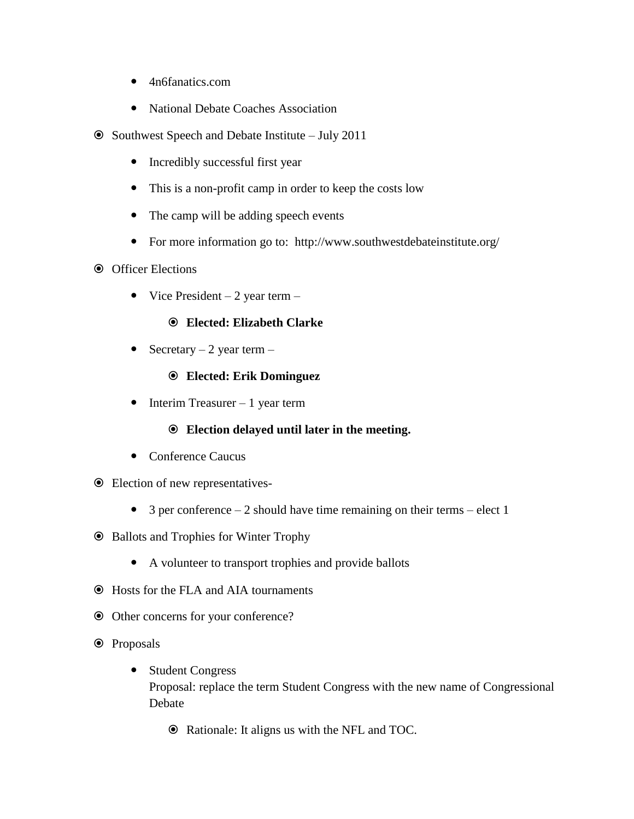- 4n6fanatics.com
- National Debate Coaches Association
- Southwest Speech and Debate Institute July 2011
	- Incredibly successful first year
	- This is a non-profit camp in order to keep the costs low
	- The camp will be adding speech events
	- For more information go to: http://www.southwestdebateinstitute.org/
- $\odot$  Officer Elections
	- Vice President  $-2$  year term  $-$

#### **Elected: Elizabeth Clarke**

• Secretary  $-2$  year term  $-$ 

#### **Elected: Erik Dominguez**

 $\bullet$  Interim Treasurer – 1 year term

### **Election delayed until later in the meeting.**

- Conference Caucus
- Election of new representatives-
	- $\bullet$  3 per conference 2 should have time remaining on their terms elect 1
- Ballots and Trophies for Winter Trophy
	- A volunteer to transport trophies and provide ballots
- Hosts for the FLA and AIA tournaments
- Other concerns for your conference?
- **⊙** Proposals
	- Student Congress Proposal: replace the term Student Congress with the new name of Congressional Debate
		- Rationale: It aligns us with the NFL and TOC.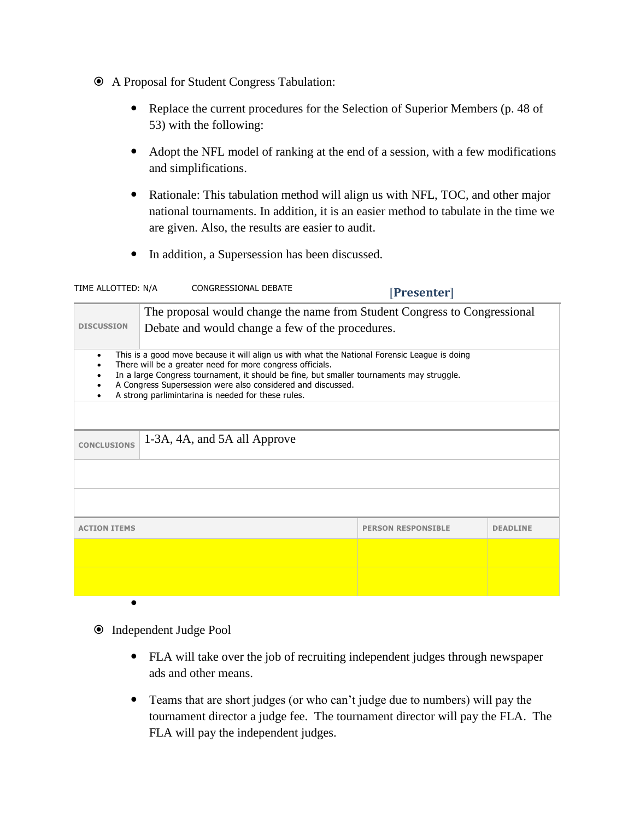- A Proposal for Student Congress Tabulation:
	- Replace the current procedures for the Selection of Superior Members (p. 48 of 53) with the following:
	- Adopt the NFL model of ranking at the end of a session, with a few modifications and simplifications.
	- Rationale: This tabulation method will align us with NFL, TOC, and other major national tournaments. In addition, it is an easier method to tabulate in the time we are given. Also, the results are easier to audit.
	- In addition, a Supersession has been discussed.

| CONGRESSIONAL DEBATE<br>TIME ALLOTTED: N/A                                                                                                                                                                                                                                                                                                                                              |  | [Presenter]               |                 |  |  |
|-----------------------------------------------------------------------------------------------------------------------------------------------------------------------------------------------------------------------------------------------------------------------------------------------------------------------------------------------------------------------------------------|--|---------------------------|-----------------|--|--|
| The proposal would change the name from Student Congress to Congressional                                                                                                                                                                                                                                                                                                               |  |                           |                 |  |  |
| <b>DISCUSSION</b><br>Debate and would change a few of the procedures.                                                                                                                                                                                                                                                                                                                   |  |                           |                 |  |  |
| This is a good move because it will align us with what the National Forensic League is doing<br>$\bullet$<br>There will be a greater need for more congress officials.<br>In a large Congress tournament, it should be fine, but smaller tournaments may struggle.<br>A Congress Supersession were also considered and discussed.<br>A strong parlimintarina is needed for these rules. |  |                           |                 |  |  |
|                                                                                                                                                                                                                                                                                                                                                                                         |  |                           |                 |  |  |
| 1-3A, 4A, and 5A all Approve<br><b>CONCLUSIONS</b>                                                                                                                                                                                                                                                                                                                                      |  |                           |                 |  |  |
|                                                                                                                                                                                                                                                                                                                                                                                         |  |                           |                 |  |  |
|                                                                                                                                                                                                                                                                                                                                                                                         |  |                           |                 |  |  |
| <b>ACTION ITEMS</b>                                                                                                                                                                                                                                                                                                                                                                     |  | <b>PERSON RESPONSIBLE</b> | <b>DEADLINE</b> |  |  |
|                                                                                                                                                                                                                                                                                                                                                                                         |  |                           |                 |  |  |
|                                                                                                                                                                                                                                                                                                                                                                                         |  |                           |                 |  |  |
|                                                                                                                                                                                                                                                                                                                                                                                         |  |                           |                 |  |  |

- $\odot$  Independent Judge Pool
	- FLA will take over the job of recruiting independent judges through newspaper ads and other means.
	- Teams that are short judges (or who can't judge due to numbers) will pay the tournament director a judge fee. The tournament director will pay the FLA. The FLA will pay the independent judges.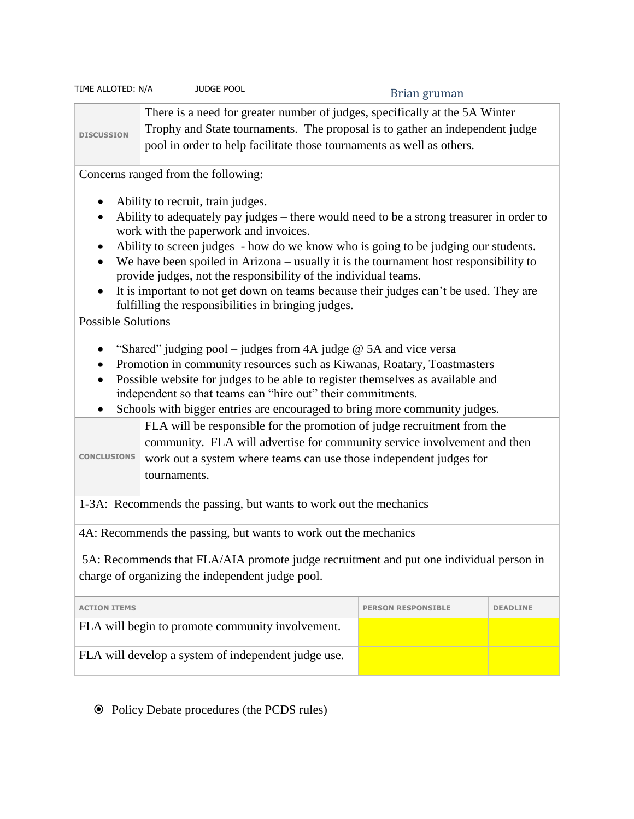| TIME ALLOTED: N/A                                                                                                                              | <b>JUDGE POOL</b>                                                     | Brian gruman                                                                                                                                                |  |  |
|------------------------------------------------------------------------------------------------------------------------------------------------|-----------------------------------------------------------------------|-------------------------------------------------------------------------------------------------------------------------------------------------------------|--|--|
| <b>DISCUSSION</b>                                                                                                                              | pool in order to help facilitate those tournaments as well as others. | There is a need for greater number of judges, specifically at the 5A Winter<br>Trophy and State tournaments. The proposal is to gather an independent judge |  |  |
| Concerns ranged from the following:                                                                                                            |                                                                       |                                                                                                                                                             |  |  |
| Ability to recruit, train judges.<br>٠                                                                                                         |                                                                       |                                                                                                                                                             |  |  |
| Ability to adequately pay judges – there would need to be a strong treasurer in order to<br>$\bullet$<br>work with the paperwork and invoices. |                                                                       |                                                                                                                                                             |  |  |
| Ability to screen judges - how do we know who is going to be judging our students.<br>$\bullet$                                                |                                                                       |                                                                                                                                                             |  |  |
|                                                                                                                                                | provide judges, not the responsibility of the individual teams.       | We have been spoiled in Arizona – usually it is the tournament host responsibility to                                                                       |  |  |
| $\bullet$<br>$\cdots$ $\cdots$                                                                                                                 | fulfilling the responsibilities in bringing judges.                   | It is important to not get down on teams because their judges can't be used. They are                                                                       |  |  |

Possible Solutions

- "Shared" judging pool judges from 4A judge  $@$  5A and vice versa
- Promotion in community resources such as Kiwanas, Roatary, Toastmasters
- Possible website for judges to be able to register themselves as available and independent so that teams can "hire out" their commitments.
- Schools with bigger entries are encouraged to bring more community judges.

FLA will be responsible for the promotion of judge recruitment from the community. FLA will advertise for community service involvement and then

**CONCLUSIONS** work out a system where teams can use those independent judges for tournaments.

1-3A: Recommends the passing, but wants to work out the mechanics

4A: Recommends the passing, but wants to work out the mechanics

5A: Recommends that FLA/AIA promote judge recruitment and put one individual person in charge of organizing the independent judge pool.

| <b>ACTION ITEMS</b>                                 | <b>PERSON RESPONSIBLE</b> | <b>DEADLINE</b> |
|-----------------------------------------------------|---------------------------|-----------------|
| FLA will begin to promote community involvement.    |                           |                 |
| FLA will develop a system of independent judge use. |                           |                 |

Policy Debate procedures (the PCDS rules)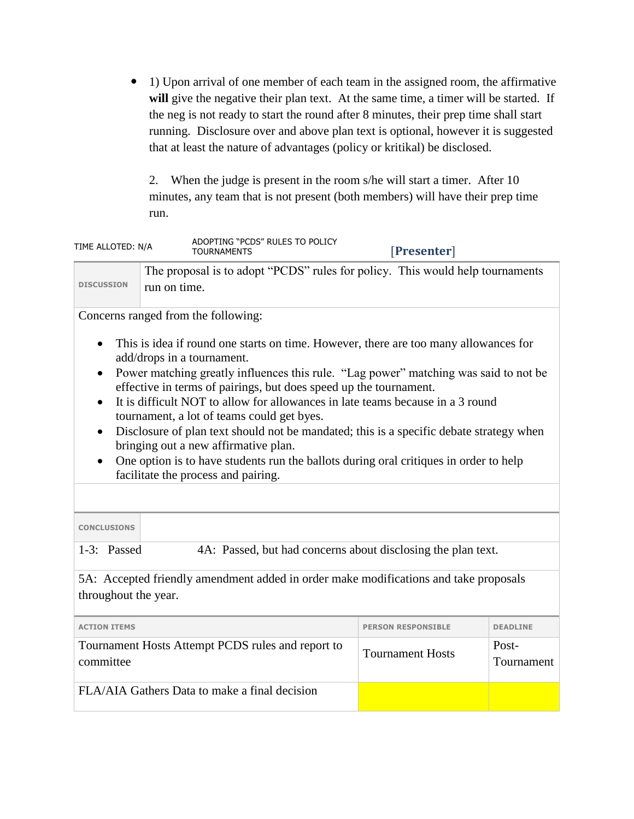1) Upon arrival of one member of each team in the assigned room, the affirmative will give the negative their plan text. At the same time, a timer will be started. If the neg is not ready to start the round after 8 minutes, their prep time shall start running. Disclosure over and above plan text is optional, however it is suggested that at least the nature of advantages (policy or kritikal) be disclosed.

2. When the judge is present in the room s/he will start a timer. After 10 minutes, any team that is not present (both members) will have their prep time run.

| TIME ALLOTED: N/A                                                                                                                                                                                                                                                                                                                                                                                                                                                                                                                                                                                                                                                                                                         |                                                                             | ADOPTING "PCDS" RULES TO POLICY<br>TOURNAMENTS                                | [Presenter]         |  |
|---------------------------------------------------------------------------------------------------------------------------------------------------------------------------------------------------------------------------------------------------------------------------------------------------------------------------------------------------------------------------------------------------------------------------------------------------------------------------------------------------------------------------------------------------------------------------------------------------------------------------------------------------------------------------------------------------------------------------|-----------------------------------------------------------------------------|-------------------------------------------------------------------------------|---------------------|--|
| <b>DISCUSSION</b><br>run on time.                                                                                                                                                                                                                                                                                                                                                                                                                                                                                                                                                                                                                                                                                         |                                                                             | The proposal is to adopt "PCDS" rules for policy. This would help tournaments |                     |  |
|                                                                                                                                                                                                                                                                                                                                                                                                                                                                                                                                                                                                                                                                                                                           |                                                                             | Concerns ranged from the following:                                           |                     |  |
| This is idea if round one starts on time. However, there are too many allowances for<br>add/drops in a tournament.<br>Power matching greatly influences this rule. "Lag power" matching was said to not be<br>$\bullet$<br>effective in terms of pairings, but does speed up the tournament.<br>It is difficult NOT to allow for allowances in late teams because in a 3 round<br>$\bullet$<br>tournament, a lot of teams could get byes.<br>Disclosure of plan text should not be mandated; this is a specific debate strategy when<br>bringing out a new affirmative plan.<br>One option is to have students run the ballots during oral critiques in order to help<br>$\bullet$<br>facilitate the process and pairing. |                                                                             |                                                                               |                     |  |
| <b>CONCLUSIONS</b>                                                                                                                                                                                                                                                                                                                                                                                                                                                                                                                                                                                                                                                                                                        |                                                                             |                                                                               |                     |  |
|                                                                                                                                                                                                                                                                                                                                                                                                                                                                                                                                                                                                                                                                                                                           | 1-3: Passed<br>4A: Passed, but had concerns about disclosing the plan text. |                                                                               |                     |  |
| 5A: Accepted friendly amendment added in order make modifications and take proposals<br>throughout the year.                                                                                                                                                                                                                                                                                                                                                                                                                                                                                                                                                                                                              |                                                                             |                                                                               |                     |  |
| <b>ACTION ITEMS</b>                                                                                                                                                                                                                                                                                                                                                                                                                                                                                                                                                                                                                                                                                                       |                                                                             | <b>PERSON RESPONSIBLE</b>                                                     | <b>DEADLINE</b>     |  |
| Tournament Hosts Attempt PCDS rules and report to<br>committee                                                                                                                                                                                                                                                                                                                                                                                                                                                                                                                                                                                                                                                            |                                                                             | <b>Tournament Hosts</b>                                                       | Post-<br>Tournament |  |
| FLA/AIA Gathers Data to make a final decision                                                                                                                                                                                                                                                                                                                                                                                                                                                                                                                                                                                                                                                                             |                                                                             |                                                                               |                     |  |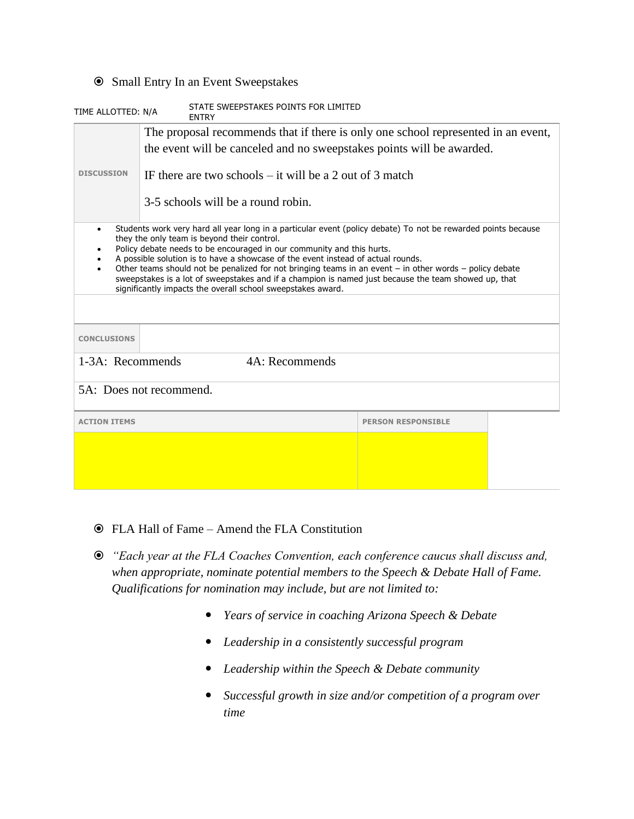#### Small Entry In an Event Sweepstakes

| STATE SWEEPSTAKES POINTS FOR LIMITED<br>TIME ALLOTTED: N/A<br><b>FNTRY</b>                                                                                                                                                                                                                                                                                                                                                                                                                                                                                                                                                                                           |                                                                       |                                    |                           |  |
|----------------------------------------------------------------------------------------------------------------------------------------------------------------------------------------------------------------------------------------------------------------------------------------------------------------------------------------------------------------------------------------------------------------------------------------------------------------------------------------------------------------------------------------------------------------------------------------------------------------------------------------------------------------------|-----------------------------------------------------------------------|------------------------------------|---------------------------|--|
| The proposal recommends that if there is only one school represented in an event,                                                                                                                                                                                                                                                                                                                                                                                                                                                                                                                                                                                    |                                                                       |                                    |                           |  |
|                                                                                                                                                                                                                                                                                                                                                                                                                                                                                                                                                                                                                                                                      | the event will be canceled and no sweepstakes points will be awarded. |                                    |                           |  |
| <b>DISCUSSION</b>                                                                                                                                                                                                                                                                                                                                                                                                                                                                                                                                                                                                                                                    | IF there are two schools $-$ it will be a 2 out of 3 match            |                                    |                           |  |
|                                                                                                                                                                                                                                                                                                                                                                                                                                                                                                                                                                                                                                                                      |                                                                       | 3-5 schools will be a round robin. |                           |  |
| Students work very hard all year long in a particular event (policy debate) To not be rewarded points because<br>$\bullet$<br>they the only team is beyond their control.<br>Policy debate needs to be encouraged in our community and this hurts.<br>٠<br>A possible solution is to have a showcase of the event instead of actual rounds.<br>Other teams should not be penalized for not bringing teams in an event $-$ in other words $-$ policy debate<br>$\bullet$<br>sweepstakes is a lot of sweepstakes and if a champion is named just because the team showed up, that<br>significantly impacts the overall school sweepstakes award.<br><b>CONCLUSIONS</b> |                                                                       |                                    |                           |  |
|                                                                                                                                                                                                                                                                                                                                                                                                                                                                                                                                                                                                                                                                      | 4A: Recommends<br>1-3A: Recommends                                    |                                    |                           |  |
|                                                                                                                                                                                                                                                                                                                                                                                                                                                                                                                                                                                                                                                                      |                                                                       |                                    |                           |  |
| 5A: Does not recommend.                                                                                                                                                                                                                                                                                                                                                                                                                                                                                                                                                                                                                                              |                                                                       |                                    |                           |  |
| <b>ACTION ITEMS</b>                                                                                                                                                                                                                                                                                                                                                                                                                                                                                                                                                                                                                                                  |                                                                       |                                    | <b>PERSON RESPONSIBLE</b> |  |
|                                                                                                                                                                                                                                                                                                                                                                                                                                                                                                                                                                                                                                                                      |                                                                       |                                    |                           |  |
|                                                                                                                                                                                                                                                                                                                                                                                                                                                                                                                                                                                                                                                                      |                                                                       |                                    |                           |  |
|                                                                                                                                                                                                                                                                                                                                                                                                                                                                                                                                                                                                                                                                      |                                                                       |                                    |                           |  |

- FLA Hall of Fame Amend the FLA Constitution
- *"Each year at the FLA Coaches Convention, each conference caucus shall discuss and, when appropriate, nominate potential members to the Speech & Debate Hall of Fame. Qualifications for nomination may include, but are not limited to:*
	- *Years of service in coaching Arizona Speech & Debate*
	- *Leadership in a consistently successful program*
	- *Leadership within the Speech & Debate community*
	- *Successful growth in size and/or competition of a program over time*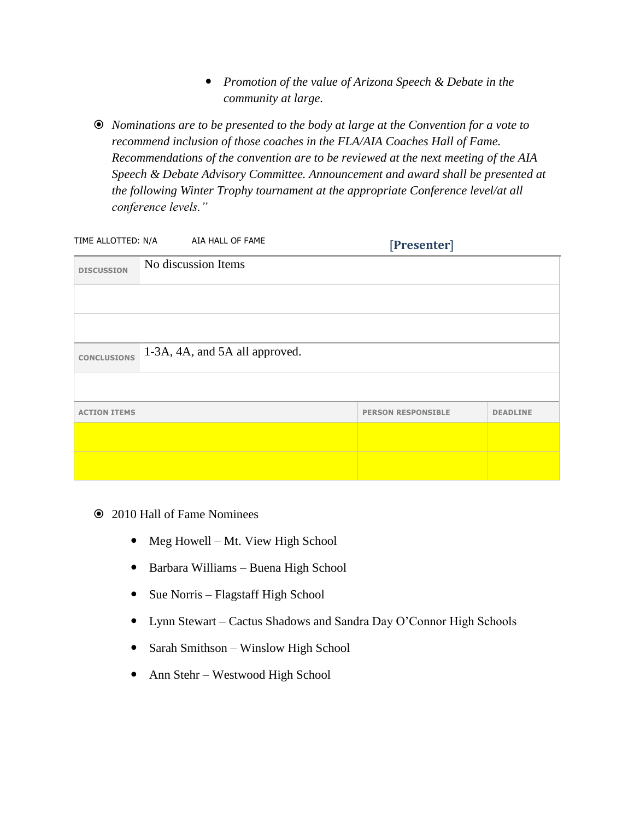- *Promotion of the value of Arizona Speech & Debate in the community at large.*
- *Nominations are to be presented to the body at large at the Convention for a vote to recommend inclusion of those coaches in the FLA/AIA Coaches Hall of Fame. Recommendations of the convention are to be reviewed at the next meeting of the AIA Speech & Debate Advisory Committee. Announcement and award shall be presented at the following Winter Trophy tournament at the appropriate Conference level/at all conference levels."*

|                     | TIME ALLOTTED: N/A AIA HALL OF FAME | [Presenter]               |                 |
|---------------------|-------------------------------------|---------------------------|-----------------|
| <b>DISCUSSION</b>   | No discussion Items                 |                           |                 |
|                     |                                     |                           |                 |
|                     |                                     |                           |                 |
| <b>CONCLUSIONS</b>  | 1-3A, 4A, and 5A all approved.      |                           |                 |
|                     |                                     |                           |                 |
| <b>ACTION ITEMS</b> |                                     | <b>PERSON RESPONSIBLE</b> | <b>DEADLINE</b> |
|                     |                                     |                           |                 |
|                     |                                     |                           |                 |

- 2010 Hall of Fame Nominees
	- Meg Howell Mt. View High School
	- Barbara Williams Buena High School
	- Sue Norris Flagstaff High School
	- Lynn Stewart Cactus Shadows and Sandra Day O'Connor High Schools
	- Sarah Smithson Winslow High School
	- Ann Stehr Westwood High School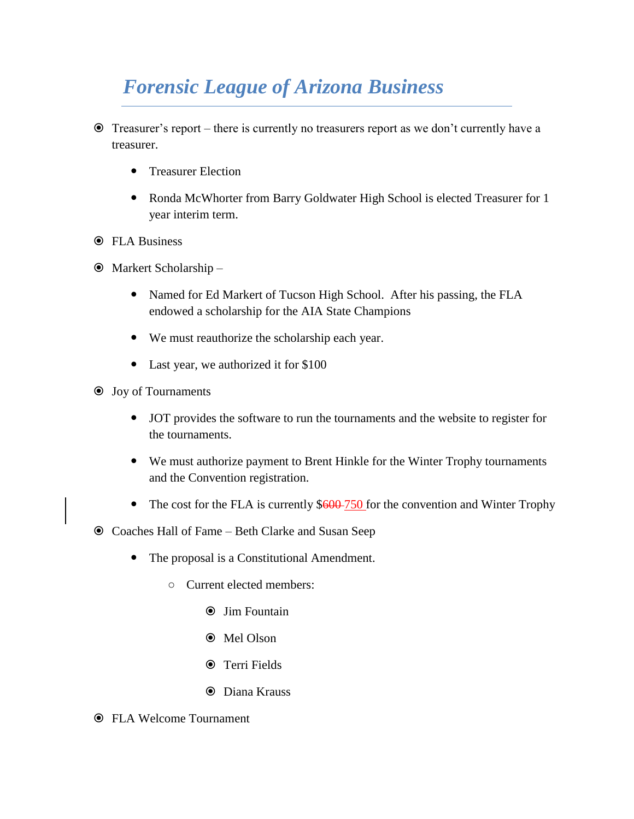### *Forensic League of Arizona Business*

- Treasurer's report there is currently no treasurers report as we don't currently have a treasurer.
	- Treasurer Election
	- Ronda McWhorter from Barry Goldwater High School is elected Treasurer for 1 year interim term.
- **O** FLA Business
- Markert Scholarship
	- Named for Ed Markert of Tucson High School. After his passing, the FLA endowed a scholarship for the AIA State Champions
	- We must reauthorize the scholarship each year.
	- Last year, we authorized it for \$100
- Joy of Tournaments
	- JOT provides the software to run the tournaments and the website to register for the tournaments.
	- We must authorize payment to Brent Hinkle for the Winter Trophy tournaments and the Convention registration.
	- The cost for the FLA is currently  $$600-750$  for the convention and Winter Trophy
- Coaches Hall of Fame Beth Clarke and Susan Seep
	- The proposal is a Constitutional Amendment.
		- Current elected members:
			- Jim Fountain
			- Mel Olson
			- Terri Fields
			- Diana Krauss
- FLA Welcome Tournament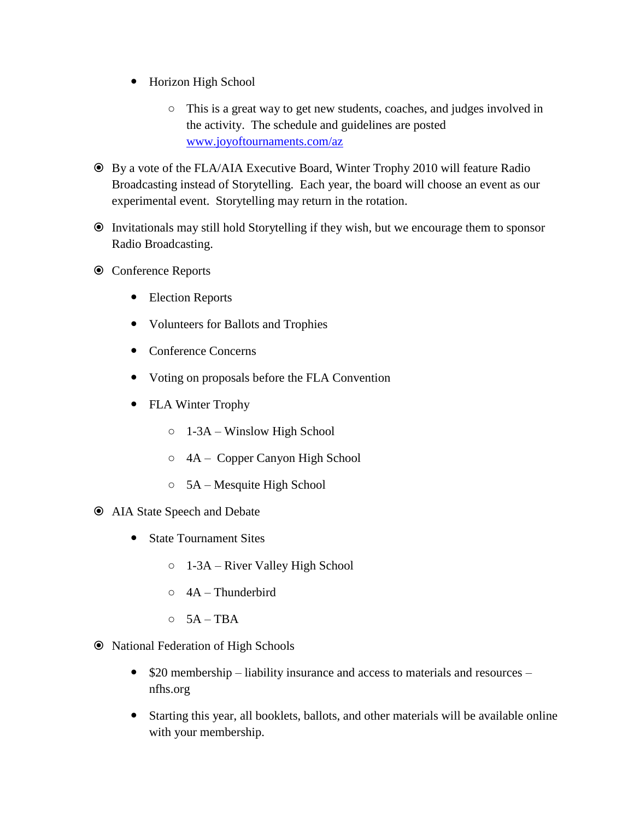- Horizon High School
	- This is a great way to get new students, coaches, and judges involved in the activity. The schedule and guidelines are posted [www.joyoftournaments.com/az](http://www.joyoftournaments.com/az)
- By a vote of the FLA/AIA Executive Board, Winter Trophy 2010 will feature Radio Broadcasting instead of Storytelling. Each year, the board will choose an event as our experimental event. Storytelling may return in the rotation.
- Invitationals may still hold Storytelling if they wish, but we encourage them to sponsor Radio Broadcasting.
- Conference Reports
	- Election Reports
	- Volunteers for Ballots and Trophies
	- Conference Concerns
	- Voting on proposals before the FLA Convention
	- FLA Winter Trophy
		- 1-3A Winslow High School
		- 4A Copper Canyon High School
		- 5A Mesquite High School
- AIA State Speech and Debate
	- State Tournament Sites
		- 1-3A River Valley High School
		- $\circ$  4A Thunderbird
		- $O$  5A TBA
- National Federation of High Schools
	- $\bullet$  \$20 membership liability insurance and access to materials and resources nfhs.org
	- Starting this year, all booklets, ballots, and other materials will be available online with your membership.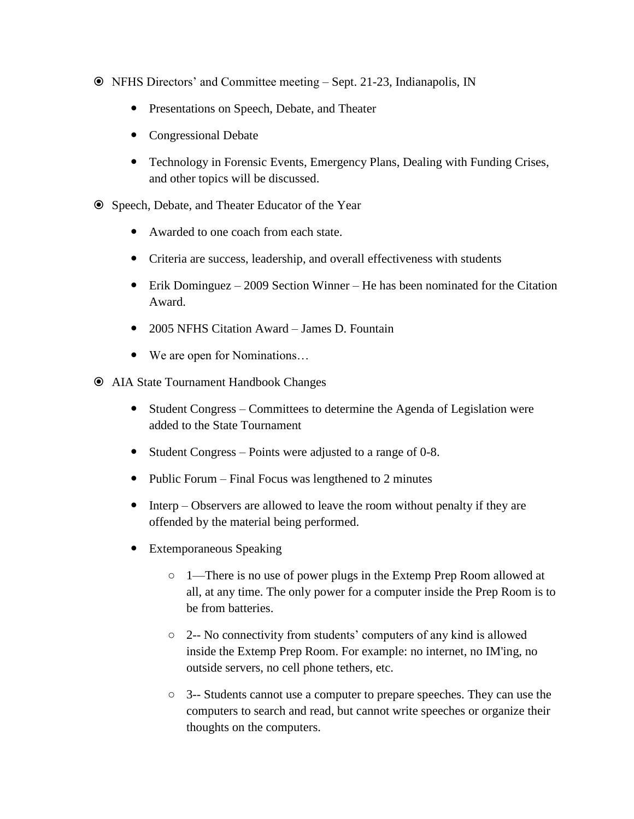- NFHS Directors' and Committee meeting Sept. 21-23, Indianapolis, IN
	- Presentations on Speech, Debate, and Theater
	- Congressional Debate
	- Technology in Forensic Events, Emergency Plans, Dealing with Funding Crises, and other topics will be discussed.
- Speech, Debate, and Theater Educator of the Year
	- Awarded to one coach from each state.
	- Criteria are success, leadership, and overall effectiveness with students
	- Erik Dominguez 2009 Section Winner He has been nominated for the Citation Award.
	- 2005 NFHS Citation Award James D. Fountain
	- We are open for Nominations…
- AIA State Tournament Handbook Changes
	- Student Congress Committees to determine the Agenda of Legislation were added to the State Tournament
	- Student Congress Points were adjusted to a range of 0-8.
	- Public Forum Final Focus was lengthened to 2 minutes
	- Interp Observers are allowed to leave the room without penalty if they are offended by the material being performed.
	- Extemporaneous Speaking
		- 1—There is no use of power plugs in the Extemp Prep Room allowed at all, at any time. The only power for a computer inside the Prep Room is to be from batteries.
		- 2-- No connectivity from students' computers of any kind is allowed inside the Extemp Prep Room. For example: no internet, no IM'ing, no outside servers, no cell phone tethers, etc.
		- 3-- Students cannot use a computer to prepare speeches. They can use the computers to search and read, but cannot write speeches or organize their thoughts on the computers.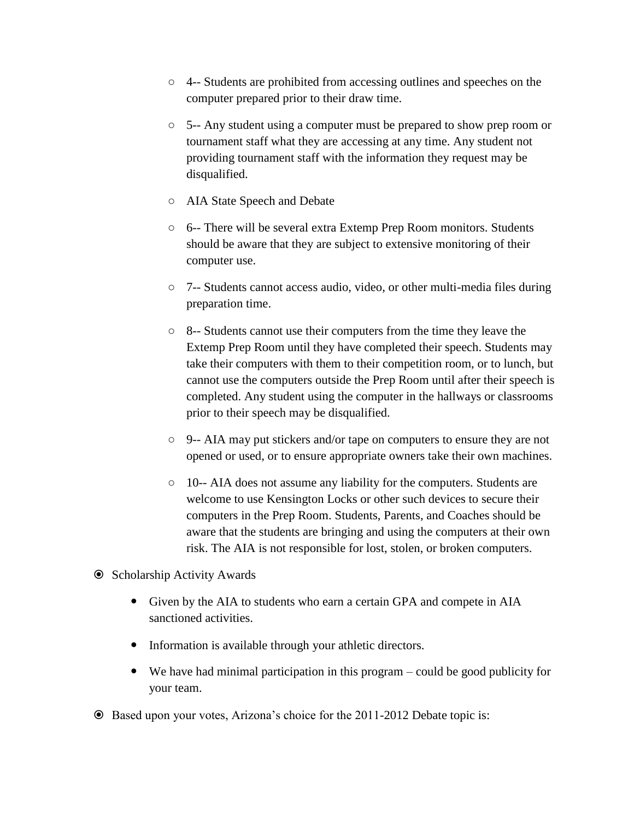- 4-- Students are prohibited from accessing outlines and speeches on the computer prepared prior to their draw time.
- 5-- Any student using a computer must be prepared to show prep room or tournament staff what they are accessing at any time. Any student not providing tournament staff with the information they request may be disqualified.
- AIA State Speech and Debate
- 6-- There will be several extra Extemp Prep Room monitors. Students should be aware that they are subject to extensive monitoring of their computer use.
- 7-- Students cannot access audio, video, or other multi-media files during preparation time.
- 8-- Students cannot use their computers from the time they leave the Extemp Prep Room until they have completed their speech. Students may take their computers with them to their competition room, or to lunch, but cannot use the computers outside the Prep Room until after their speech is completed. Any student using the computer in the hallways or classrooms prior to their speech may be disqualified.
- 9-- AIA may put stickers and/or tape on computers to ensure they are not opened or used, or to ensure appropriate owners take their own machines.
- 10-- AIA does not assume any liability for the computers. Students are welcome to use Kensington Locks or other such devices to secure their computers in the Prep Room. Students, Parents, and Coaches should be aware that the students are bringing and using the computers at their own risk. The AIA is not responsible for lost, stolen, or broken computers.
- **☉** Scholarship Activity Awards
	- Given by the AIA to students who earn a certain GPA and compete in AIA sanctioned activities.
	- Information is available through your athletic directors.
	- We have had minimal participation in this program could be good publicity for your team.
- Based upon your votes, Arizona's choice for the 2011-2012 Debate topic is: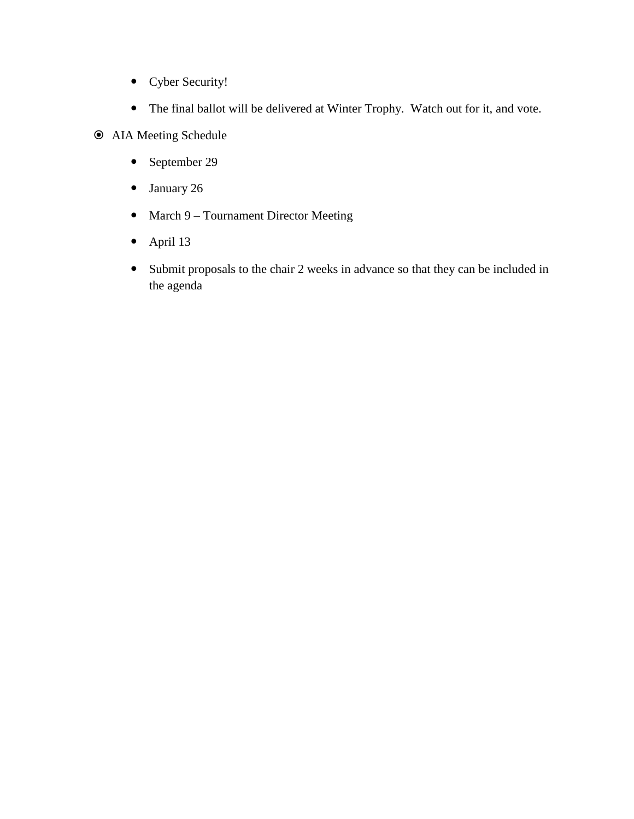- Cyber Security!
- The final ballot will be delivered at Winter Trophy. Watch out for it, and vote.
- AIA Meeting Schedule
	- September 29
	- January 26
	- March 9 Tournament Director Meeting
	- April 13
	- Submit proposals to the chair 2 weeks in advance so that they can be included in the agenda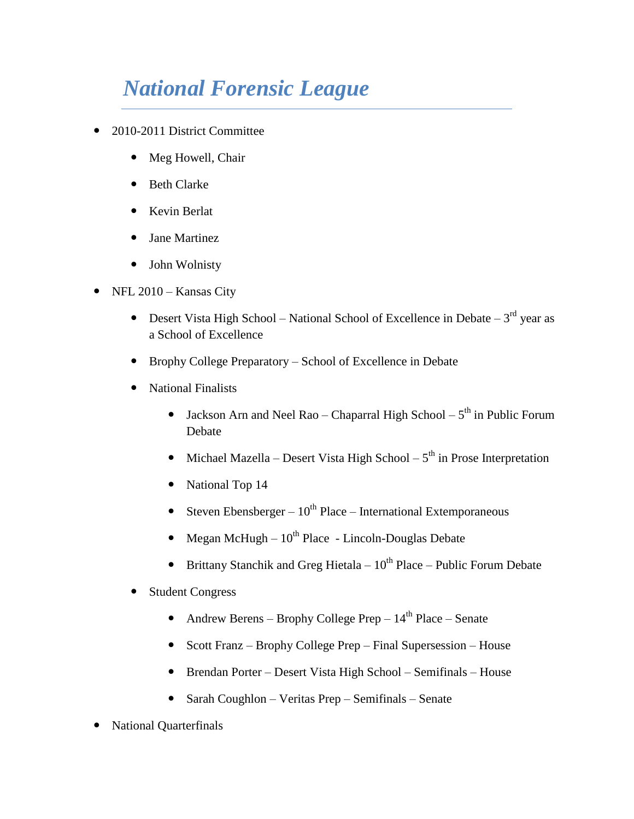# *National Forensic League*

- 2010-2011 District Committee
	- Meg Howell, Chair
	- Beth Clarke
	- Kevin Berlat
	- Jane Martinez
	- John Wolnisty
- NFL 2010 Kansas City
	- Desert Vista High School National School of Excellence in Debate  $3<sup>rd</sup>$  year as a School of Excellence
	- Brophy College Preparatory School of Excellence in Debate
	- National Finalists
		- Jackson Arn and Neel Rao Chaparral High School  $5<sup>th</sup>$  in Public Forum Debate
		- Michael Mazella Desert Vista High School  $5<sup>th</sup>$  in Prose Interpretation
		- National Top 14
		- Steven Ebensberger  $10^{th}$  Place International Extemporaneous
		- Megan McHugh  $10^{th}$  Place Lincoln-Douglas Debate
		- **•** Brittany Stanchik and Greg Hietala  $10^{th}$  Place Public Forum Debate
	- Student Congress
		- Andrew Berens Brophy College Prep  $14<sup>th</sup>$  Place Senate
		- Scott Franz Brophy College Prep Final Supersession House
		- Brendan Porter Desert Vista High School Semifinals House
		- Sarah Coughlon Veritas Prep Semifinals Senate
- National Quarterfinals